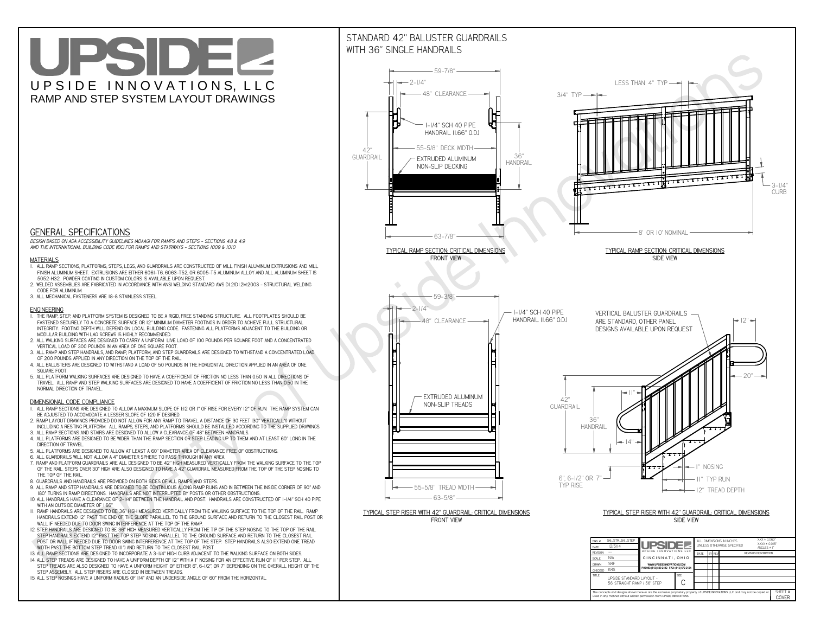**used in any manner without written permission from UPSIDE INNOVATIONS.**

# UPSIDEL UPSIDE INNOVATIONS, LLC RAMP AND STEP SYSTEM LAYOUT DRAWINGS

SHEET #**COVER**



The concepts and designs shown here-in are the exclusive proprietary property of UPSIDE INNOVATIONS LLC. and may not be copied o

**H** 

# WITH 36" SINGLE HANDRAILS



 *DESIGN BASED ON ADA ACCESSIBILITY GUIDELINES (ADAAG) FOR RAMPS AND STEPS - SECTIONS 4.8 & 4.9AND THE INTERNATIONAL BUILDING CODE (IBC) FOR RAMPS AND STAIRWAYS - SECTIONS 1009 & 1010*

#### **MATERIALS**

- **1. ALL RAMP SECTIONS, PLATFORMS, STEPS, LEGS, AND GUARDRAILS ARE CONSTRUCTED OF MILL FINISH ALUMINUM EXTRUSIONS AND MILL FINISH ALUMINUM SHEET. EXTRUSIONS ARE EITHER 6061-T6, 6063-T52, OR 6005-T5 ALUMINUM ALLOY AND ALL ALUMINUM SHEET IS 5052-H32. POWDER COATING IN CUSTOM COLORS IS AVAILABLE UPON REQUEST.**
- **2. WELDED ASSEMBLIES ARE FABRICATED IN ACCORDANCE WITH ANSI WELDING STANDARD AWS D1.2/D1.2M:2003 STRUCTURAL WELDING CODE FOR ALUMINUM.**
- **3. ALL MECHANICAL FASTENERS ARE 18-8 STAINLESS STEEL.**

#### **ENGINEERING**

- **1. THE RAMP, STEP, AND PLATFORM SYSTEM IS DESIGNED TO BE A RIGID, FREE STANDING STRUCTURE. ALL FOOTPLATES SHOULD BE FASTENED SECURELY TO A CONCRETE SURFACE OR 12" MINIMUM DIAMETER FOOTINGS IN ORDER TO ACHIEVE FULL STRUCTURAL INTEGRITY. FOOTING DEPTH WILL DEPEND ON LOCAL BUILDING CODE. FASTENING ALL PLATFORMS ADJACENT TO THE BUILDING OR MODULAR BUILDING WITH LAG SCREWS IS HIGHLY RECOMMENDED.**
- **2. ALL WALKING SURFACES ARE DESIGNED TO CARRY A UNIFORM LIVE LOAD OF 100 POUNDS PER SQUARE FOOT AND A CONCENTRATED VERTICAL LOAD OF 300 POUNDS IN AN AREA OF ONE SQUARE FOOT.**
- **3. ALL RAMP AND STEP HANDRAILS, AND RAMP, PLATFORM, AND STEP GUARDRAILS ARE DESIGNED TO WITHSTAND A CONCENTRATED LOAD OF 200 POUNDS APPLIED IN ANY DIRECTION ON THE TOP OF THE RAIL.**
- **4. ALL BALUSTERS ARE DESIGNED TO WITHSTAND A LOAD OF 50 POUNDS IN THE HORIZONTAL DIRECTION APPLIED IN AN AREA OF ONE SQUARE FOOT.**
- **5. ALL PLATFORM WALKING SURFACES ARE DESIGNED TO HAVE A COEFFICIENT OF FRICTION NO LESS THAN 0.50 IN ALL DIRECTIONS OF TRAVEL. ALL RAMP AND STEP WALKING SURFACES ARE DESIGNED TO HAVE A COEFFICIENT OF FRICTION NO LESS THAN 0.50 IN THE NORMAL DIRECTION OF TRAVEL.**

### **DIMENSIONAL CODE COMPLIANCE**

- **1. ALL RAMP SECTIONS ARE DESIGNED TO ALLOW A MAXIMUM SLOPE OF 1:12 OR 1" OF RISE FOR EVERY 12" OF RUN. THE RAMP SYSTEM CAN BE ADJUSTED TO ACCOMODATE A LESSER SLOPE OF 1:20 IF DESIRED.**
- **2. RAMP LAYOUT DRAWINGS PROVIDED DO NOT ALLOW FOR ANY RAMP TO TRAVEL A DISTANCE OF 30 FEET (30" VERTICALLY) WITHOUT INCLUDING A RESTING PLATFORM. ALL RAMPS, STEPS, AND PLATFORMS SHOULD BE INSTALLED ACCORDING TO THE SUPPLIED DRAWINGS.**
- **3. ALL RAMP SECTIONS AND STAIRS ARE DESIGNED TO ALLOW A CLEARANCE OF 48" BETWEEN HANDRAILS.**
- **4. ALL PLATFORMS ARE DESIGNED TO BE WIDER THAN THE RAMP SECTION OR STEP LEADING UP TO THEM AND AT LEAST 60" LONG IN THE DIRECTION OF TRAVEL.**
- **5. ALL PLATFORMS ARE DESIGNED TO ALLOW AT LEAST A 60" DIAMETER AREA OF CLEARANCE FREE OF OBSTRUCTIONS.**
- **6. ALL GUARDRAILS WILL NOT ALLOW A 4" DIAMETER SPHERE TO PASS THROUGH IN ANY AREA.**
- **7. RAMP AND PLATFORM GUARDRAILS ARE ALL DESIGNED TO BE 42" HIGH MEASURED VERTICALLY FROM THE WALKING SURFACE TO THE TOP OF THE RAIL. STEPS OVER 30" HIGH ARE ALSO DESIGNED TO HAVE A 42" GUARDRAIL MEASURED FROM THE TOP OF THE STEP NOSING TO THE TOP OF THE RAIL.**
- **8. GUARDRAILS AND HANDRAILS ARE PROVIDED ON BOTH SIDES OF ALL RAMPS AND STEPS.**
- **9. ALL RAMP AND STEP HANDRAILS ARE DESIGNED TO BE CONTINUOUS ALONG RAMP RUNS AND IN BETWEEN THE INSIDE CORNER OF 90° AND 180° TURNS IN RAMP DIRECTIONS. HANDRAILS ARE NOT INTERRUPTED BY POSTS OR OTHER OBSTRUCTIONS.**
- **10. ALL HANDRAILS HAVE A CLEARANCE OF 2-1/4" BETWEEN THE HANDRAIL AND POST. HANDRAILS ARE CONSTRUCTED OF 1-1/4" SCH 40 PIPE WITH AN OUTSIDE DIAMETER OF 1.66"**
- **11. RAMP HANDRAILS ARE DESIGNED TO BE 36" HIGH MEASURED VERTICALLY FROM THE WALKING SURFACE TO THE TOP OF THE RAIL. RAMP HANDRAILS EXTEND 12" PAST THE END OF THE SLOPE PARALLEL TO THE GROUND SURFACE AND RETURN TO THE CLOSEST RAIL POST OR WALL IF NEEDED DUE TO DOOR SWING INTERFERENCE AT THE TOP OF THE RAMP.**
- **12. STEP HANDRAILS ARE DESIGNED TO BE 36" HIGH MEASURED VERTICALLY FROM THE TIP OF THE STEP NOSING TO THE TOP OF THE RAIL. STEP HANDRAILS EXTEND 12" PAST THE TOP STEP NOSING PARALLEL TO THE GROUND SURFACE AND RETURN TO THE CLOSEST RAIL POST OR WALL IF NEEDED DUE TO DOOR SWING INTERFERENCE AT THE TOP OF THE STEP. STEP HANDRAILS ALSO EXTEND ONE TREAD WIDTH PAST THE BOTTOM STEP TREAD (11") AND RETURN TO THE CLOSEST RAIL POST.**
- **13. ALL RAMP SECTIONS ARE DESIGNED TO INCORPORATE A 3-1/4" HIGH CURB ADJACENT TO THE WALKING SURFACE ON BOTH SIDES.**
- **14. ALL STEP TREADS ARE DESIGNED TO HAVE A UNIFORM DEPTH OF 12" WITH A 1" NOSING FOR AN EFFECTIVE RUN OF 11" PER STEP. ALL**
- **STEP TREADS ARE ALSO DESIGNED TO HAVE A UNIFORM HEIGHT OF EITHER 6", 6-1/2", OR 7" DEPENDING ON THE OVERALL HEIGHT OF THE STEP ASSEMBLY. ALL STEP RISERS ARE CLOSED IN BETWEEN TREADS.**
- **15. ALL STEP NOSINGS HAVE A UNIFORM RADIUS OF 1/4" AND AN UNDERSIDE ANGLE OF 60° FROM THE HORIZONTAL.**